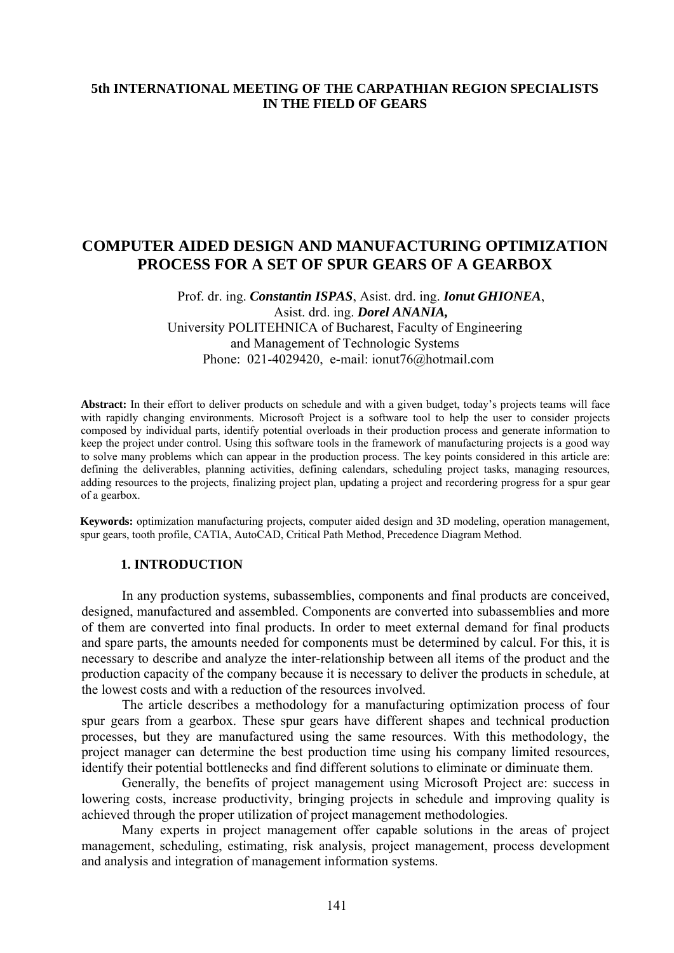# **5th INTERNATIONAL MEETING OF THE CARPATHIAN REGION SPECIALISTS IN THE FIELD OF GEARS**

# **COMPUTER AIDED DESIGN AND MANUFACTURING OPTIMIZATION PROCESS FOR A SET OF SPUR GEARS OF A GEARBOX**

Prof. dr. ing. *Constantin ISPAS*, Asist. drd. ing. *Ionut GHIONEA*, Asist. drd. ing. *Dorel ANANIA,*  University POLITEHNICA of Bucharest, Faculty of Engineering and Management of Technologic Systems Phone: 021-4029420, e-mail: ionut76@hotmail.com

**Abstract:** In their effort to deliver products on schedule and with a given budget, today's projects teams will face with rapidly changing environments. Microsoft Project is a software tool to help the user to consider projects composed by individual parts, identify potential overloads in their production process and generate information to keep the project under control. Using this software tools in the framework of manufacturing projects is a good way to solve many problems which can appear in the production process. The key points considered in this article are: defining the deliverables, planning activities, defining calendars, scheduling project tasks, managing resources, adding resources to the projects, finalizing project plan, updating a project and recordering progress for a spur gear of a gearbox.

**Keywords:** optimization manufacturing projects, computer aided design and 3D modeling, operation management, spur gears, tooth profile, CATIA, AutoCAD, Critical Path Method, Precedence Diagram Method.

#### **1. INTRODUCTION**

In any production systems, subassemblies, components and final products are conceived, designed, manufactured and assembled. Components are converted into subassemblies and more of them are converted into final products. In order to meet external demand for final products and spare parts, the amounts needed for components must be determined by calcul. For this, it is necessary to describe and analyze the inter-relationship between all items of the product and the production capacity of the company because it is necessary to deliver the products in schedule, at the lowest costs and with a reduction of the resources involved.

The article describes a methodology for a manufacturing optimization process of four spur gears from a gearbox. These spur gears have different shapes and technical production processes, but they are manufactured using the same resources. With this methodology, the project manager can determine the best production time using his company limited resources, identify their potential bottlenecks and find different solutions to eliminate or diminuate them.

Generally, the benefits of project management using Microsoft Project are: success in lowering costs, increase productivity, bringing projects in schedule and improving quality is achieved through the proper utilization of project management methodologies.

Many experts in project management offer capable solutions in the areas of project management, scheduling, estimating, risk analysis, project management, process development and analysis and integration of management information systems.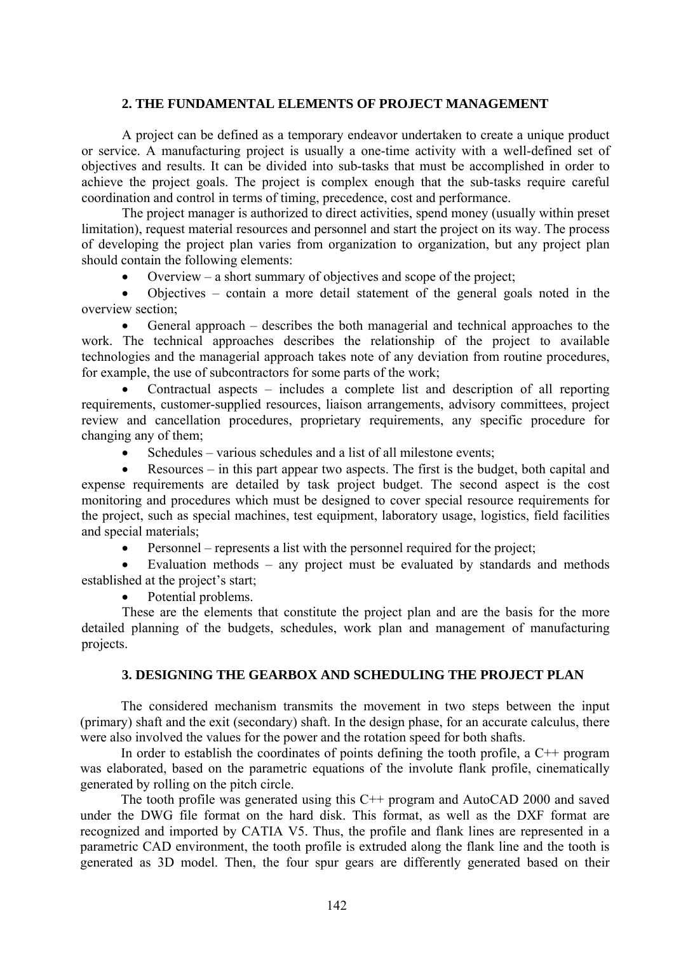#### **2. THE FUNDAMENTAL ELEMENTS OF PROJECT MANAGEMENT**

A project can be defined as a temporary endeavor undertaken to create a unique product or service. A manufacturing project is usually a one-time activity with a well-defined set of objectives and results. It can be divided into sub-tasks that must be accomplished in order to achieve the project goals. The project is complex enough that the sub-tasks require careful coordination and control in terms of timing, precedence, cost and performance.

The project manager is authorized to direct activities, spend money (usually within preset limitation), request material resources and personnel and start the project on its way. The process of developing the project plan varies from organization to organization, but any project plan should contain the following elements:

Overview – a short summary of objectives and scope of the project;

• Objectives – contain a more detail statement of the general goals noted in the overview section;

• General approach – describes the both managerial and technical approaches to the work. The technical approaches describes the relationship of the project to available technologies and the managerial approach takes note of any deviation from routine procedures, for example, the use of subcontractors for some parts of the work;

• Contractual aspects – includes a complete list and description of all reporting requirements, customer-supplied resources, liaison arrangements, advisory committees, project review and cancellation procedures, proprietary requirements, any specific procedure for changing any of them;

Schedules – various schedules and a list of all milestone events;

• Resources – in this part appear two aspects. The first is the budget, both capital and expense requirements are detailed by task project budget. The second aspect is the cost monitoring and procedures which must be designed to cover special resource requirements for the project, such as special machines, test equipment, laboratory usage, logistics, field facilities and special materials;

• Personnel – represents a list with the personnel required for the project;

Evaluation methods – any project must be evaluated by standards and methods established at the project's start;

Potential problems.

These are the elements that constitute the project plan and are the basis for the more detailed planning of the budgets, schedules, work plan and management of manufacturing projects.

## **3. DESIGNING THE GEARBOX AND SCHEDULING THE PROJECT PLAN**

The considered mechanism transmits the movement in two steps between the input (primary) shaft and the exit (secondary) shaft. In the design phase, for an accurate calculus, there were also involved the values for the power and the rotation speed for both shafts.

In order to establish the coordinates of points defining the tooth profile, a C++ program was elaborated, based on the parametric equations of the involute flank profile, cinematically generated by rolling on the pitch circle.

The tooth profile was generated using this C++ program and AutoCAD 2000 and saved under the DWG file format on the hard disk. This format, as well as the DXF format are recognized and imported by CATIA V5. Thus, the profile and flank lines are represented in a parametric CAD environment, the tooth profile is extruded along the flank line and the tooth is generated as 3D model. Then, the four spur gears are differently generated based on their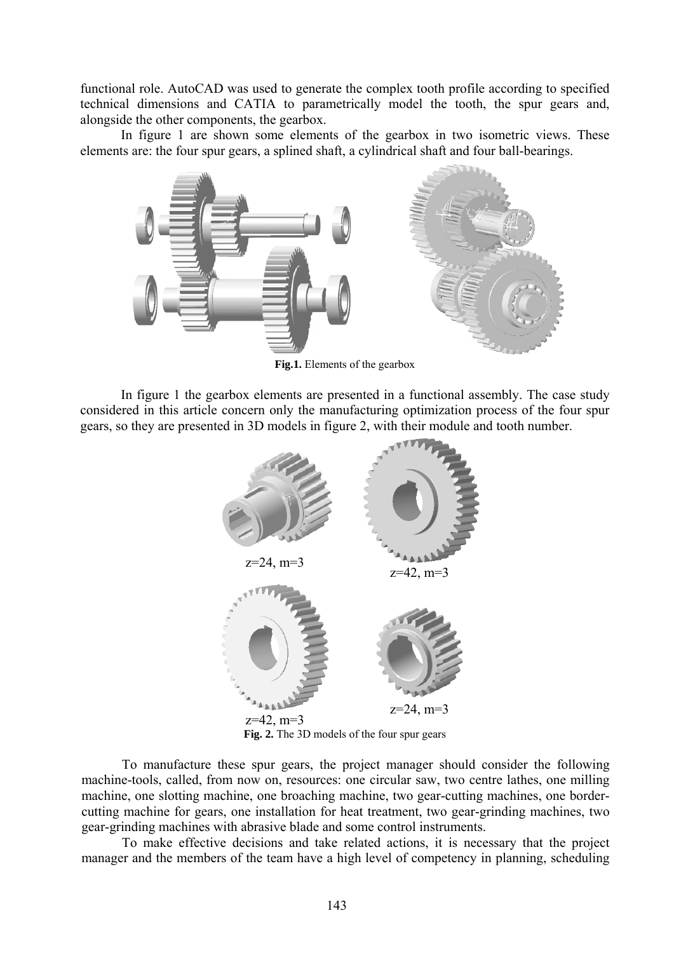functional role. AutoCAD was used to generate the complex tooth profile according to specified technical dimensions and CATIA to parametrically model the tooth, the spur gears and, alongside the other components, the gearbox.

In figure 1 are shown some elements of the gearbox in two isometric views. These elements are: the four spur gears, a splined shaft, a cylindrical shaft and four ball-bearings.



**Fig.1.** Elements of the gearbox

In figure 1 the gearbox elements are presented in a functional assembly. The case study considered in this article concern only the manufacturing optimization process of the four spur gears, so they are presented in 3D models in figure 2, with their module and tooth number.



**Fig. 2.** The 3D models of the four spur gears

To manufacture these spur gears, the project manager should consider the following machine-tools, called, from now on, resources: one circular saw, two centre lathes, one milling machine, one slotting machine, one broaching machine, two gear-cutting machines, one bordercutting machine for gears, one installation for heat treatment, two gear-grinding machines, two gear-grinding machines with abrasive blade and some control instruments.

To make effective decisions and take related actions, it is necessary that the project manager and the members of the team have a high level of competency in planning, scheduling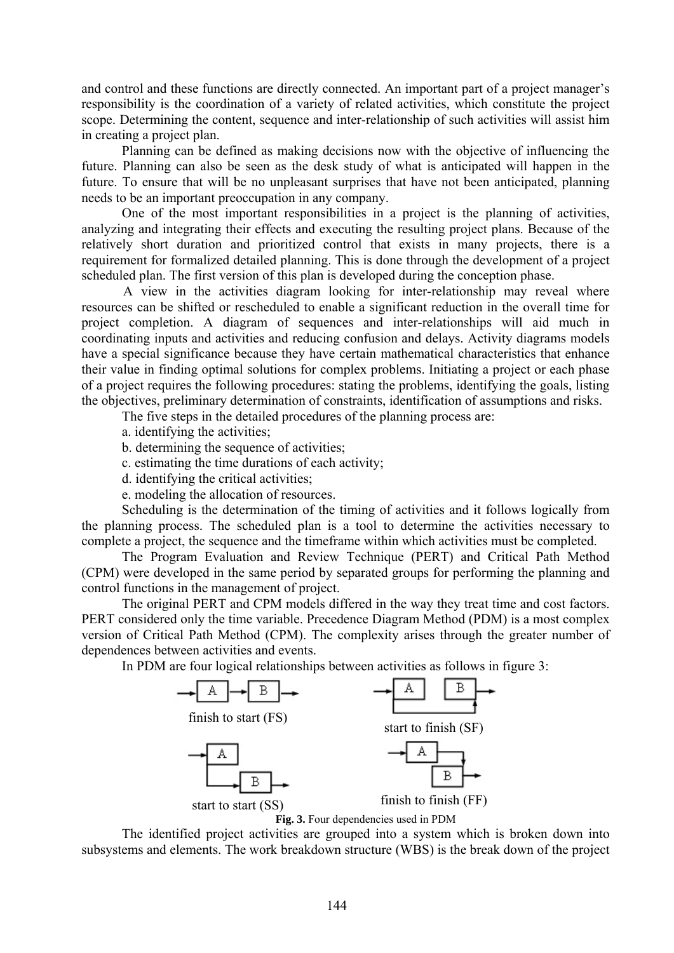and control and these functions are directly connected. An important part of a project manager's responsibility is the coordination of a variety of related activities, which constitute the project scope. Determining the content, sequence and inter-relationship of such activities will assist him in creating a project plan.

Planning can be defined as making decisions now with the objective of influencing the future. Planning can also be seen as the desk study of what is anticipated will happen in the future. To ensure that will be no unpleasant surprises that have not been anticipated, planning needs to be an important preoccupation in any company.

One of the most important responsibilities in a project is the planning of activities, analyzing and integrating their effects and executing the resulting project plans. Because of the relatively short duration and prioritized control that exists in many projects, there is a requirement for formalized detailed planning. This is done through the development of a project scheduled plan. The first version of this plan is developed during the conception phase.

A view in the activities diagram looking for inter-relationship may reveal where resources can be shifted or rescheduled to enable a significant reduction in the overall time for project completion. A diagram of sequences and inter-relationships will aid much in coordinating inputs and activities and reducing confusion and delays. Activity diagrams models have a special significance because they have certain mathematical characteristics that enhance their value in finding optimal solutions for complex problems. Initiating a project or each phase of a project requires the following procedures: stating the problems, identifying the goals, listing the objectives, preliminary determination of constraints, identification of assumptions and risks.

The five steps in the detailed procedures of the planning process are:

- a. identifying the activities;
- b. determining the sequence of activities;
- c. estimating the time durations of each activity;
- d. identifying the critical activities;
- e. modeling the allocation of resources.

Scheduling is the determination of the timing of activities and it follows logically from the planning process. The scheduled plan is a tool to determine the activities necessary to complete a project, the sequence and the timeframe within which activities must be completed.

The Program Evaluation and Review Technique (PERT) and Critical Path Method (CPM) were developed in the same period by separated groups for performing the planning and control functions in the management of project.

The original PERT and CPM models differed in the way they treat time and cost factors. PERT considered only the time variable. Precedence Diagram Method (PDM) is a most complex version of Critical Path Method (CPM). The complexity arises through the greater number of dependences between activities and events.

In PDM are four logical relationships between activities as follows in figure 3:



The identified project activities are grouped into a system which is broken down into subsystems and elements. The work breakdown structure (WBS) is the break down of the project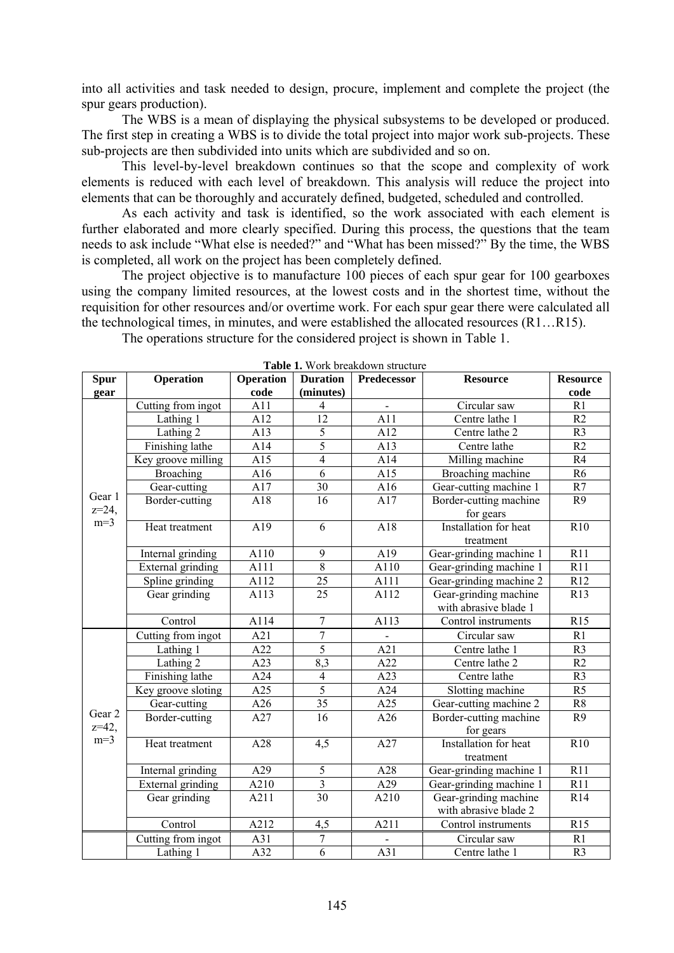into all activities and task needed to design, procure, implement and complete the project (the spur gears production).

The WBS is a mean of displaying the physical subsystems to be developed or produced. The first step in creating a WBS is to divide the total project into major work sub-projects. These sub-projects are then subdivided into units which are subdivided and so on.

This level-by-level breakdown continues so that the scope and complexity of work elements is reduced with each level of breakdown. This analysis will reduce the project into elements that can be thoroughly and accurately defined, budgeted, scheduled and controlled.

As each activity and task is identified, so the work associated with each element is further elaborated and more clearly specified. During this process, the questions that the team needs to ask include "What else is needed?" and "What has been missed?" By the time, the WBS is completed, all work on the project has been completely defined.

The project objective is to manufacture 100 pieces of each spur gear for 100 gearboxes using the company limited resources, at the lowest costs and in the shortest time, without the requisition for other resources and/or overtime work. For each spur gear there were calculated all the technological times, in minutes, and were established the allocated resources (R1…R15).

The operations structure for the considered project is shown in Table 1.

| <b>Spur</b>                   | <b>Operation</b>   | <b>Operation</b> | <b>Duration</b> | Predecessor      | <b>Resource</b>                     | <b>Resource</b> |
|-------------------------------|--------------------|------------------|-----------------|------------------|-------------------------------------|-----------------|
| gear                          |                    | code             | (minutes)       |                  |                                     | code            |
| Gear 1<br>$z = 24$ ,<br>$m=3$ | Cutting from ingot | A11              | $\overline{4}$  |                  | Circular saw                        | R1              |
|                               | Lathing 1          | $\overline{A12}$ | $\overline{12}$ | A11              | Centre lathe 1                      | R2              |
|                               | Lathing 2          | A13              | $\overline{5}$  | A12              | Centre lathe 2                      | R <sub>3</sub>  |
|                               | Finishing lathe    | A14              | 5               | A13              | Centre lathe                        | R2              |
|                               | Key groove milling | A15              | $\overline{4}$  | A14              | Milling machine                     | R4              |
|                               | <b>Broaching</b>   | A16              | $\overline{6}$  | A15              | Broaching machine                   | R <sub>6</sub>  |
|                               | Gear-cutting       | A17              | $\overline{30}$ | A16              | Gear-cutting machine 1              | R7              |
|                               | Border-cutting     | A18              | $\overline{16}$ | A17              | Border-cutting machine              | R <sub>9</sub>  |
|                               | Heat treatment     | A19              | 6               | A18              | for gears<br>Installation for heat  | R10             |
|                               |                    |                  |                 |                  | treatment                           |                 |
|                               | Internal grinding  | A110             | $\overline{9}$  | A19              | Gear-grinding machine 1             | R11             |
|                               | External grinding  | A111             | $\overline{8}$  | A110             | Gear-grinding machine 1             | R11             |
|                               | Spline grinding    | A112             | 25              | A111             | Gear-grinding machine 2             | R12             |
|                               | Gear grinding      | A113             | $\overline{25}$ | A112             | Gear-grinding machine               | R13             |
|                               |                    |                  |                 |                  | with abrasive blade 1               |                 |
|                               | Control            | A114             | $\overline{7}$  | A113             | Control instruments                 | R15             |
| Gear 2<br>$z=42$ ,<br>$m=3$   | Cutting from ingot | A21              | $\overline{7}$  | $\blacksquare$   | Circular saw                        | R1              |
|                               | Lathing 1          | A22              | 5               | A21              | Centre lathe 1                      | R <sub>3</sub>  |
|                               | Lathing 2          | A23              | 8,3             | A22              | Centre lathe 2                      | R2              |
|                               | Finishing lathe    | A24              | $\overline{4}$  | A23              | Centre lathe                        | R <sub>3</sub>  |
|                               | Key groove sloting | A25              | $\overline{5}$  | A24              | Slotting machine                    | R <sub>5</sub>  |
|                               | Gear-cutting       | A26              | 35              | A25              | Gear-cutting machine 2              | R8              |
|                               | Border-cutting     | A27              | 16              | A26              | Border-cutting machine<br>for gears | R <sub>9</sub>  |
|                               | Heat treatment     | A28              | 4,5             | A27              | Installation for heat<br>treatment  | R10             |
|                               | Internal grinding  | $\overline{A29}$ | 5               | A28              | Gear-grinding machine 1             | R11             |
|                               | External grinding  | A210             | $\overline{3}$  | A29              | Gear-grinding machine 1             | R11             |
|                               | Gear grinding      | A211             | $\overline{30}$ | A210             | Gear-grinding machine               | R14             |
|                               |                    |                  |                 |                  | with abrasive blade 2               |                 |
|                               | Control            | A212             | 4,5             | A211             | Control instruments                 | R15             |
|                               | Cutting from ingot | A31              | 7               |                  | Circular saw                        | R1              |
|                               | Lathing 1          | $\overline{A32}$ | $\overline{6}$  | $\overline{A31}$ | Centre lathe 1                      | R <sub>3</sub>  |

**Table 1.** Work breakdown structure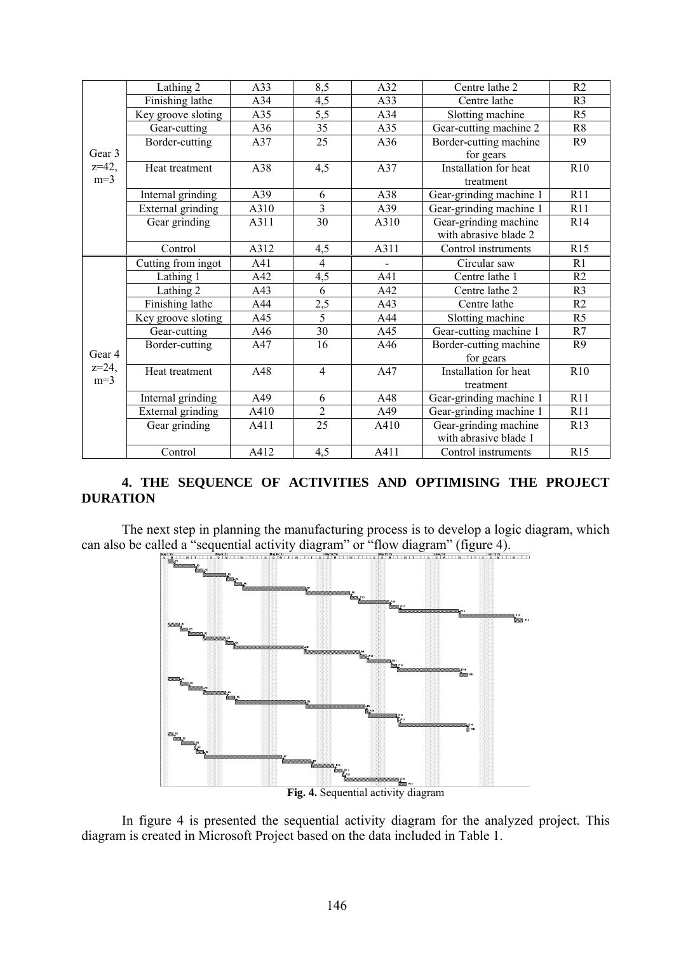| Gear 3<br>$z=42$ ,<br>$m=3$ | Lathing 2          | A33  | 8,5             | A32            | Centre lathe 2          | R2             |
|-----------------------------|--------------------|------|-----------------|----------------|-------------------------|----------------|
|                             | Finishing lathe    | A34  | 4,5             | A33            | Centre lathe            | R <sub>3</sub> |
|                             | Key groove sloting | A35  | 5,5             | A34            | Slotting machine        | R <sub>5</sub> |
|                             | Gear-cutting       | A36  | 35              | A35            | Gear-cutting machine 2  | R <sub>8</sub> |
|                             | Border-cutting     | A37  | $\overline{25}$ | A36            | Border-cutting machine  | R <sub>9</sub> |
|                             |                    |      |                 |                | for gears               |                |
|                             | Heat treatment     | A38  | 4,5             | A37            | Installation for heat   | R10            |
|                             |                    |      |                 |                | treatment               |                |
|                             | Internal grinding  | A39  | 6               | A38            | Gear-grinding machine 1 | R11            |
|                             | External grinding  | A310 | 3               | A39            | Gear-grinding machine 1 | R11            |
|                             | Gear grinding      | A311 | 30              | A310           | Gear-grinding machine   | R14            |
|                             |                    |      |                 |                | with abrasive blade 2   |                |
|                             | Control            | A312 | 4,5             | A311           | Control instruments     | R15            |
| Gear 4<br>$z=24$ ,<br>$m=3$ | Cutting from ingot | A41  | $\overline{4}$  | $\blacksquare$ | Circular saw            | R1             |
|                             | Lathing 1          | A42  | 4,5             | A41            | Centre lathe 1          | R <sub>2</sub> |
|                             | Lathing 2          | A43  | 6               | A42            | Centre lathe 2          | R <sub>3</sub> |
|                             | Finishing lathe    | A44  | 2,5             | A43            | Centre lathe            | R <sub>2</sub> |
|                             | Key groove sloting | A45  | $\overline{5}$  | A44            | Slotting machine        | R <sub>5</sub> |
|                             | Gear-cutting       | A46  | 30              | A45            | Gear-cutting machine 1  | R7             |
|                             | Border-cutting     | A47  | 16              | A46            | Border-cutting machine  | R <sub>9</sub> |
|                             |                    |      |                 |                | for gears               |                |
|                             | Heat treatment     | A48  | $\overline{4}$  | A47            | Installation for heat   | R10            |
|                             |                    |      |                 |                | treatment               |                |
|                             | Internal grinding  | A49  | 6               | A48            | Gear-grinding machine 1 | R11            |
|                             | External grinding  | A410 | $\overline{2}$  | A49            | Gear-grinding machine 1 | R11            |
|                             | Gear grinding      | A411 | 25              | A410           | Gear-grinding machine   | R13            |
|                             |                    |      |                 |                | with abrasive blade 1   |                |
|                             | Control            | A412 | 4,5             | A411           | Control instruments     | R15            |

# **4. THE SEQUENCE OF ACTIVITIES AND OPTIMISING THE PROJECT DURATION**

The next step in planning the manufacturing process is to develop a logic diagram, which can also be called a "sequential activity diagram" or "flow diagram" (figure 4).



In figure 4 is presented the sequential activity diagram for the analyzed project. This diagram is created in Microsoft Project based on the data included in Table 1.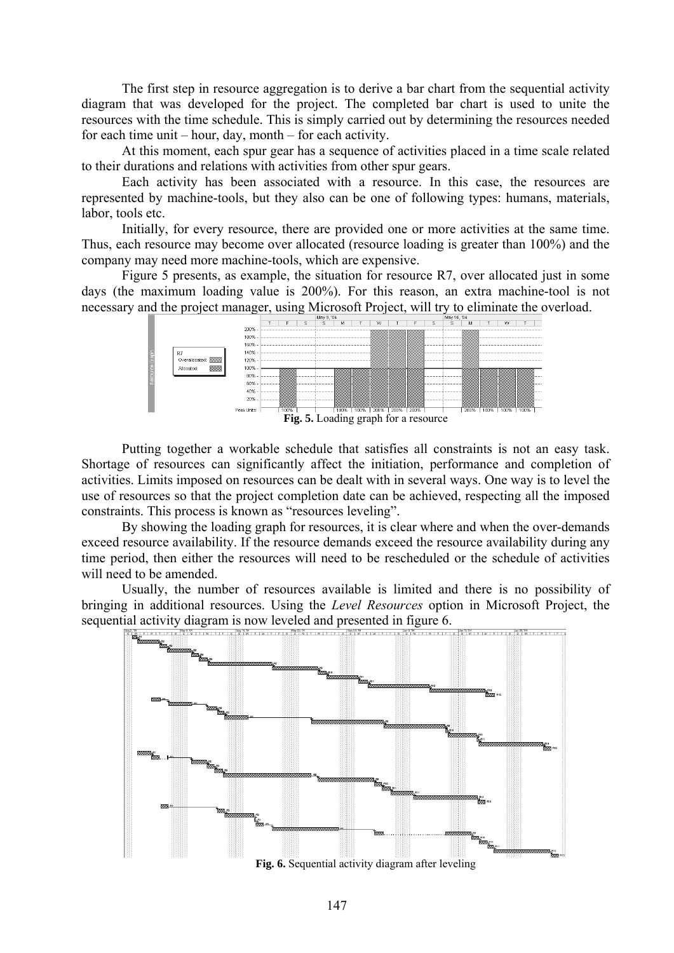The first step in resource aggregation is to derive a bar chart from the sequential activity diagram that was developed for the project. The completed bar chart is used to unite the resources with the time schedule. This is simply carried out by determining the resources needed for each time unit – hour, day, month – for each activity.

At this moment, each spur gear has a sequence of activities placed in a time scale related to their durations and relations with activities from other spur gears.

Each activity has been associated with a resource. In this case, the resources are represented by machine-tools, but they also can be one of following types: humans, materials, labor, tools etc.

Initially, for every resource, there are provided one or more activities at the same time. Thus, each resource may become over allocated (resource loading is greater than 100%) and the company may need more machine-tools, which are expensive.

Figure 5 presents, as example, the situation for resource R7, over allocated just in some days (the maximum loading value is 200%). For this reason, an extra machine-tool is not necessary and the project manager, using Microsoft Project, will try to eliminate the overload.



Putting together a workable schedule that satisfies all constraints is not an easy task. Shortage of resources can significantly affect the initiation, performance and completion of activities. Limits imposed on resources can be dealt with in several ways. One way is to level the use of resources so that the project completion date can be achieved, respecting all the imposed constraints. This process is known as "resources leveling".

By showing the loading graph for resources, it is clear where and when the over-demands exceed resource availability. If the resource demands exceed the resource availability during any time period, then either the resources will need to be rescheduled or the schedule of activities will need to be amended.

Usually, the number of resources available is limited and there is no possibility of bringing in additional resources. Using the *Level Resources* option in Microsoft Project, the sequential activity diagram is now leveled and presented in figure 6.



**Fig. 6.** Sequential activity diagram after leveling